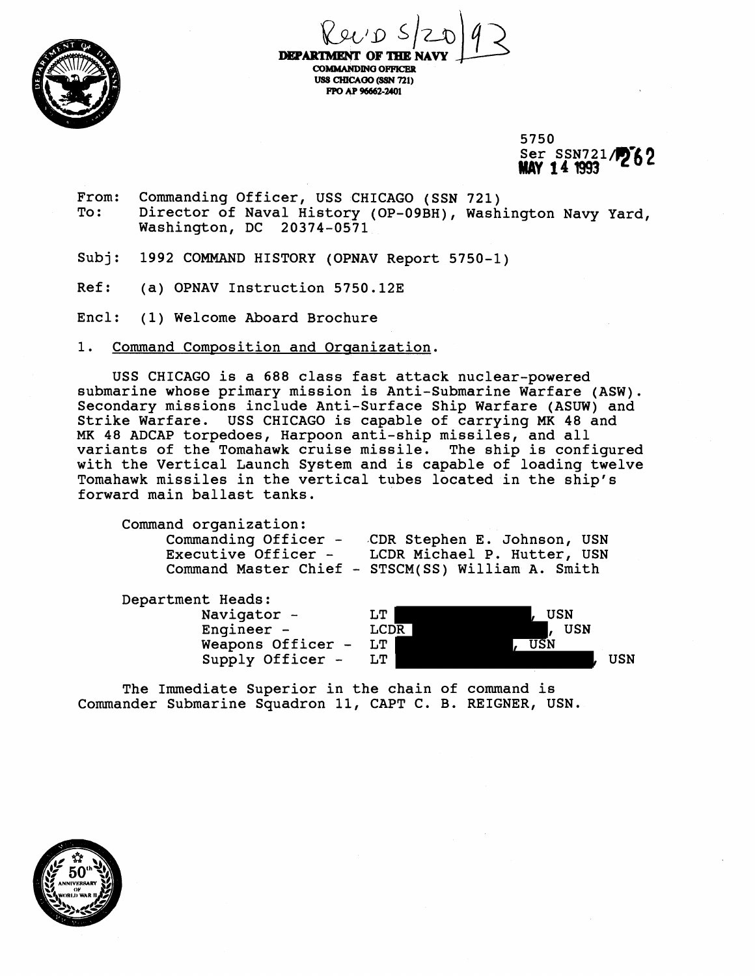

 $\chi_{90'0}$  5/2019

**DEPARTMENT OF THE** USS CHICAGO (SSN 721) FPO AP 96662-2401

> 5750 Ser SSN721/762 **MAV 141993**

- From: Commanding Officer, USS CHICAGO (SSN 721)<br>To: Director of Naval History (OP-09BH), Wash Director of Naval History (OP-09BH), Washington Navy Yard, Washington, DC 20374-0571
- Subj: 1992 COMMAND HISTORY (OPNAV Report 5750-1)
- Ref: (a) OPNAV Instruction 5750.12E
- Encl: (1) Welcome Aboard Brochure
- 1. Command Composition and Organization.

USS CHICAGO is a 688 class fast attack nuclear-powered submarine whose primary mission is Anti-Submarine Warfare (ASW). Secondary missions include Anti-Surface Ship Warfare (ASUW) and Strike Warfare. USS CHICAGO is capable of carrying MK 48 and MK 48 ADCAP torpedoes, Harpoon anti-ship missiles, and all variants of the Tomahawk cruise missile. The ship is configured with the Vertical Launch System and is capable of loading twelve Tomahawk missiles in the vertical tubes located in the ship's forward main ballast tanks.

Command organization: Commanding Officer - CDR Stephen E. Johnson, USN<br>Executive Officer - LCDR Michael P. Hutter, USN LCDR Michael P. Hutter, USN Command Master Chief - STSCM(SS) William A. Smith



The Immediate Superior in the chain of command is Commander Submarine Squadron 11, CAPT C. B. REIGNER, USN.

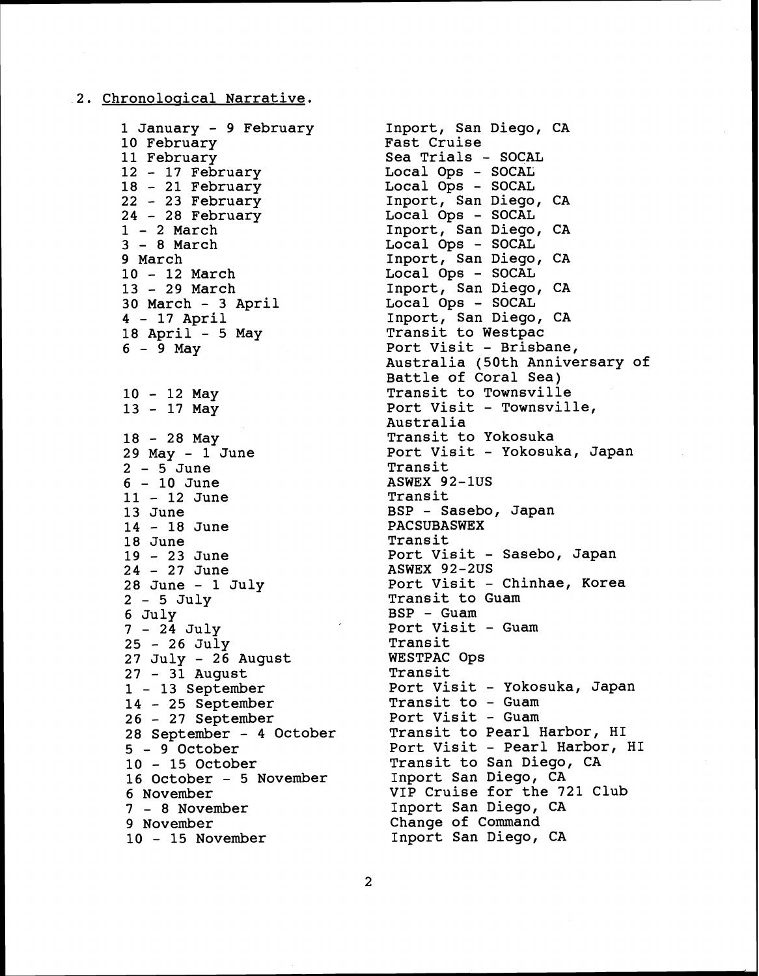## **2.** Chronoloqical Narrative.

January - **9** February February February - **17** February - **21** February - **23** February - **28** February - **2** March - **8** March **9** March - **12** March - **29** March March - **3** April - **17** April April - **5** May **<sup>6</sup>**- **9** May **<sup>10</sup>**- **12** May **<sup>13</sup>**- **17** May **<sup>18</sup>**- **28** May May - **1** June **<sup>2</sup>**- **5** June - 10 June - **12** June **13** June - **18** June **18** June - **23** June - **27** June June - 1 July **<sup>2</sup>**- **5** July **6** July - **24** July - **26** July July - **26** August - **31** August - **13** September - **25** September - **27** September September - **4** October - **9** October - **15** October 10 - 15 October<br>16 October - 5 November November - **8** November November - **15** November

Inport, San Diego, CA Fast Cruise Sea Trials - SOCAL<br>Local Ops - SOCAL Local Ops - SOCAL Local Ops - SOCAL Inport, San Diego, CA Local Ops - SOCAL Inport, San Diego, CA Local Ops - SOCAL Inport, San Diego, CA Local Ops - SOCAL Inport, San Diego, CA Local Ops - SOCAL Inport, San Diego, CA Transit to Westpac Port Visit - Brisbane, Australia (50th Anniversary of Battle of Coral Sea) Transit to Townsville Port Visit - Townsville, Australia Transit to Yokosuka Port Visit - Yokosuka, Japan **Transit** ASWEX **92-1US**  Transit BSP - Sasebo, Japan PACSUBASWEX Transit rransit<br>Port Visit - Sasebo, Japan ASWEX **92-2US**  Port Visit - Chinhae, Korea Transit to Guam BSP - Guam Port Visit - Guam<br>Transit Transit WESTPAC Ops Transit Port Visit - Yokosuka, Japan POLL VISIL - TOROS<br>Transit to - Guam 11ansic co - Guam<br>Port Visit - Guam Transit to Pearl Harbor, HI Port Visit - Pearl Harbor, HI Transit to San Diego, CA Inport San Diego, CA VIP Cruise for the **721** Club Inport San Diego, CA Change of Command Inport San Diego, CA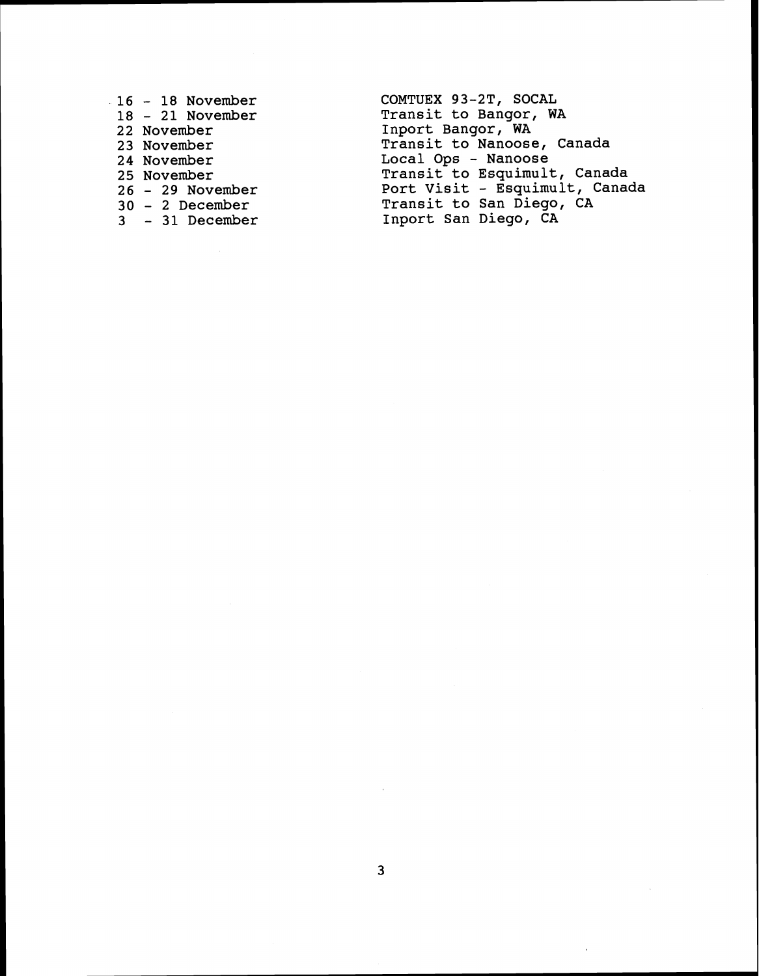- **<sup>16</sup> 18 November** 
	- **<sup>18</sup> 21 November**
	- **22 November**
	- **23 November**
- **24 November**
- **25 November**
- **<sup>26</sup> 29 November**
- **<sup>30</sup> 2 December**
- **<sup>3</sup> 31 December**

**COMTUEX 93-2T, SOCAL Transit to Bangor, WA Inport Bangor, WA Transit to Nanoose, Canada Local Ops** - **Nanoose Transit to Esquimult, Canada Port Visit** - **Esquimult, Canada Transit to San Diego, CA Inport San Diego, CA**